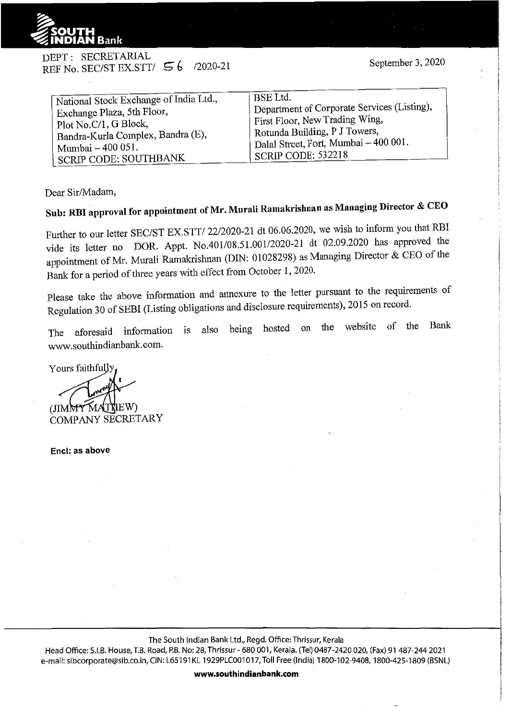

DEPT: SECRETARIAL REF No. SEC/ST EX.STT/  $56$  /2020-21

Dear Sir/Madam,

## **Sub: RBI approval for appointment of Mr. Murali Ramakrishnan as Managing Director & CEO**

Further to our letter SEC/ST EX.STT/ 22/2020-21 dt 06.06.2020, we wish to inform you that RBI vide its letter no DOR. Appt. No.401/08.5l.00112020-21 dt 02.09.2020 has approved the appointment of Mr. Murali Ramakrislman (DIN: 01028298) as Managing Director & CEO of the Bank for a period of three years with effect from October 1, 2020.

Please take the above information and annexure to the letter pursuant to the requirements of Regulation 30 of SEBI (Listing obligations and disclosure requirements), 2015 on record.

The aforesaid information is also being hosted on the website of the Bank www.southindianbank.com.

Yours faithfully  $(JIMMYM)$ COMPANY SECRETARY

**Encl: as above** 

The South Indian Bank Ltd., Regd. Office: Thrissur, Kerala

Head Office: S.I.B. House, T.B. Road, P.B. No: 28, Thrissur - 680 001, Kerala. (Tel) 0487-2420 020, (Fax) 91 487-244 2021 e-mail: sibcorporate@sib.co.in, CIN: L65191KL 1929PLC001017, Toll Free (India) 1800-102-9408, 1800-425-1809 (BSNL)

**www.southindianbank.com**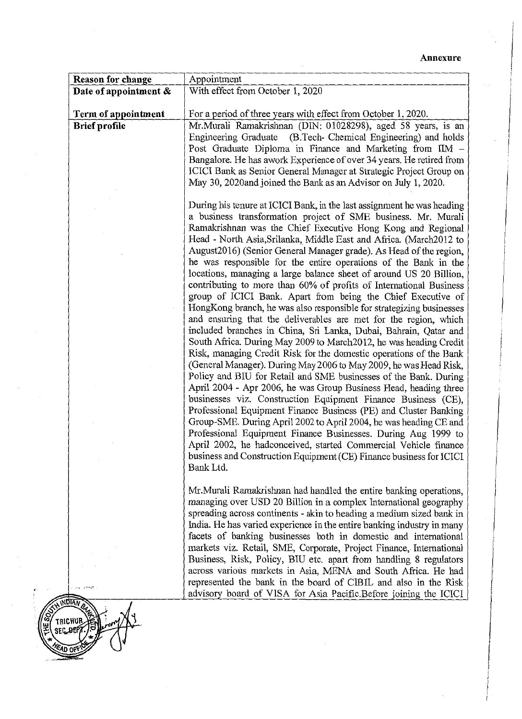| <b>Reason for change</b> | Appointment                                                                                                                                                                                                                                                                                                                                                                                                                                                                                                                                                                                                                                                                                                                                                                                                                                                                                                                                                                                                                                                                                                                                                                                                                                                                                                                                                                                                                                                                                                                                                                                                                                  |
|--------------------------|----------------------------------------------------------------------------------------------------------------------------------------------------------------------------------------------------------------------------------------------------------------------------------------------------------------------------------------------------------------------------------------------------------------------------------------------------------------------------------------------------------------------------------------------------------------------------------------------------------------------------------------------------------------------------------------------------------------------------------------------------------------------------------------------------------------------------------------------------------------------------------------------------------------------------------------------------------------------------------------------------------------------------------------------------------------------------------------------------------------------------------------------------------------------------------------------------------------------------------------------------------------------------------------------------------------------------------------------------------------------------------------------------------------------------------------------------------------------------------------------------------------------------------------------------------------------------------------------------------------------------------------------|
| Date of appointment &    | With effect from October 1, 2020                                                                                                                                                                                                                                                                                                                                                                                                                                                                                                                                                                                                                                                                                                                                                                                                                                                                                                                                                                                                                                                                                                                                                                                                                                                                                                                                                                                                                                                                                                                                                                                                             |
|                          |                                                                                                                                                                                                                                                                                                                                                                                                                                                                                                                                                                                                                                                                                                                                                                                                                                                                                                                                                                                                                                                                                                                                                                                                                                                                                                                                                                                                                                                                                                                                                                                                                                              |
| Term of appointment      | For a period of three years with effect from October 1, 2020.                                                                                                                                                                                                                                                                                                                                                                                                                                                                                                                                                                                                                                                                                                                                                                                                                                                                                                                                                                                                                                                                                                                                                                                                                                                                                                                                                                                                                                                                                                                                                                                |
| <b>Brief profile</b>     | Mr.Murali Ramakrishnan (DIN: 01028298), aged 58 years, is an<br>Engineering Graduate (B.Tech- Chemical Engineering) and holds<br>Post Graduate Diploma in Finance and Marketing from IIM -<br>Bangalore. He has awork Experience of over 34 years. He retired from<br>ICICI Bank as Senior General Manager at Strategic Project Group on<br>May 30, 2020and joined the Bank as an Advisor on July 1, 2020.                                                                                                                                                                                                                                                                                                                                                                                                                                                                                                                                                                                                                                                                                                                                                                                                                                                                                                                                                                                                                                                                                                                                                                                                                                   |
|                          | During his tenure at ICICI Bank, in the last assignment he was heading<br>a business transformation project of SME business. Mr. Murali<br>Ramakrishnan was the Chief Executive Hong Kong and Regional<br>Head - North Asia, Srilanka, Middle East and Africa. (March2012 to<br>August2016) (Senior General Manager grade). As Head of the region,<br>he was responsible for the entire operations of the Bank in the<br>locations, managing a large balance sheet of around US 20 Billion,<br>contributing to more than 60% of profits of International Business<br>group of ICICI Bank. Apart from being the Chief Executive of<br>HongKong branch, he was also responsible for strategizing businesses<br>and ensuring that the deliverables are met for the region, which<br>included branches in China, Sri Lanka, Dubai, Bahrain, Qatar and<br>South Africa. During May 2009 to March 2012, he was heading Credit<br>Risk, managing Credit Risk for the domestic operations of the Bank<br>(General Manager). During May 2006 to May 2009, he was Head Risk,<br>Policy and BIU for Retail and SME businesses of the Bank, During<br>April 2004 - Apr 2006, he was Group Business Head, heading three<br>businesses viz. Construction Equipment Finance Business (CE),<br>Professional Equipment Finance Business (PE) and Cluster Banking<br>Group-SME. During April 2002 to April 2004, he was heading CE and<br>Professional Equipment Finance Businesses. During Aug 1999 to<br>April 2002, he hadconceived, started Commercial Vehicle finance<br>business and Construction Equipment (CE) Finance business for ICICI<br>Bank Ltd. |
|                          | Mr. Murali Ramakrishnan had handled the entire banking operations,<br>managing over USD 20 Billion in a complex International geography                                                                                                                                                                                                                                                                                                                                                                                                                                                                                                                                                                                                                                                                                                                                                                                                                                                                                                                                                                                                                                                                                                                                                                                                                                                                                                                                                                                                                                                                                                      |
|                          | spreading across continents - akin to heading a medium sized bank in<br>India. He has varied experience in the entire banking industry in many<br>facets of banking businesses both in domestic and international<br>markets viz. Retail, SME, Corporate, Project Finance, International<br>Business, Risk, Policy, BIU etc. apart from handling 8 regulators                                                                                                                                                                                                                                                                                                                                                                                                                                                                                                                                                                                                                                                                                                                                                                                                                                                                                                                                                                                                                                                                                                                                                                                                                                                                                |
| contract of the earth    | across various markets in Asia, MENA and South Africa. He had<br>represented the bank in the board of CIBIL and also in the Risk<br>advisory board of VISA for Asia Pacific. Before joining the ICICI                                                                                                                                                                                                                                                                                                                                                                                                                                                                                                                                                                                                                                                                                                                                                                                                                                                                                                                                                                                                                                                                                                                                                                                                                                                                                                                                                                                                                                        |



 $\frac{1}{2}$